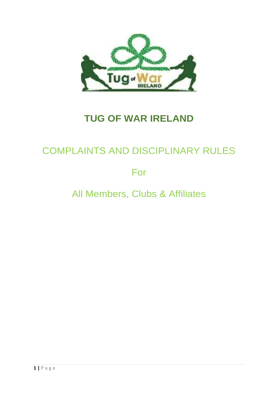

# **TUG OF WAR IRELAND**

## COMPLAINTS AND DISCIPLINARY RULES

For

All Members, Clubs & Affiliates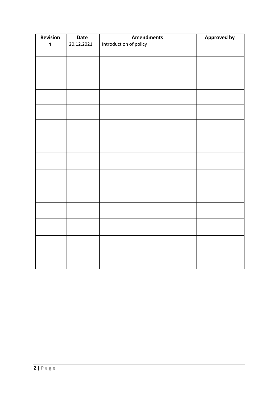| Revision     | <b>Date</b> | <b>Amendments</b>      | <b>Approved by</b> |
|--------------|-------------|------------------------|--------------------|
| $\mathbf{1}$ | 20.12.2021  | Introduction of policy |                    |
|              |             |                        |                    |
|              |             |                        |                    |
|              |             |                        |                    |
|              |             |                        |                    |
|              |             |                        |                    |
|              |             |                        |                    |
|              |             |                        |                    |
|              |             |                        |                    |
|              |             |                        |                    |
|              |             |                        |                    |
|              |             |                        |                    |
|              |             |                        |                    |
|              |             |                        |                    |
|              |             |                        |                    |
|              |             |                        |                    |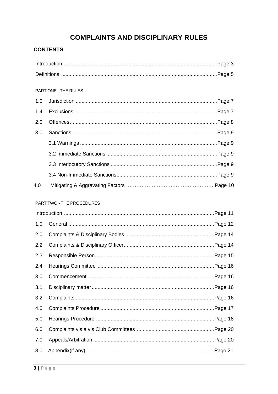## **COMPLAINTS AND DISCIPLINARY RULES**

## **CONTENTS**

|     | PART ONE - THE RULES      |  |
|-----|---------------------------|--|
| 1.0 |                           |  |
| 1.4 |                           |  |
| 2.0 |                           |  |
| 3.0 |                           |  |
|     |                           |  |
|     |                           |  |
|     |                           |  |
|     |                           |  |
| 4.0 |                           |  |
|     |                           |  |
|     | PART TWO - THE PROCEDURES |  |
|     |                           |  |
|     |                           |  |
| 1.0 |                           |  |
| 2.0 |                           |  |
| 2.2 |                           |  |
| 2.3 |                           |  |
| 2.4 |                           |  |
| 3.0 |                           |  |
| 3.1 |                           |  |
| 3.2 |                           |  |
| 4.0 |                           |  |
| 5.0 |                           |  |
| 6.0 |                           |  |
| 7.0 |                           |  |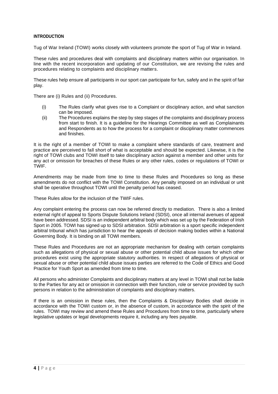#### **INTRODUCTION**

Tug of War Ireland (TOWI) works closely with volunteers promote the sport of Tug of War in Ireland.

These rules and procedures deal with complaints and disciplinary matters within our organisation. In line with the recent incorporation and updating of our Constitution, we are revising the rules and procedures relating to complaints and disciplinary matters.

These rules help ensure all participants in our sport can participate for fun, safely and in the spirit of fair play.

There are (i) Rules and (ii) Procedures.

- (i) The Rules clarify what gives rise to a Complaint or disciplinary action, and what sanction can be imposed.
- (ii) The Procedures explains the step by step stages of the complaints and disciplinary process from start to finish. It is a guideline for the Hearings Committee as well as Complainants and Respondents as to how the process for a complaint or disciplinary matter commences and finishes.

It is the right of a member of TOWI to make a complaint where standards of care, treatment and practice are perceived to fall short of what is acceptable and should be expected. Likewise, it is the right of TOWI clubs and TOWI itself to take disciplinary action against a member and other units for any act or omission for breaches of these Rules or any other rules, codes or regulations of TOWI or TWIF.

Amendments may be made from time to time to these Rules and Procedures so long as these amendments do not conflict with the TOWI Constitution. Any penalty imposed on an individual or unit shall be operative throughout TOWI until the penalty period has ceased.

These Rules allow for the inclusion of the TWIF rules.

Any complaint entering the process can now be referred directly to mediation. There is also a limited external right of appeal to Sports Dispute Solutions Ireland (SDSI), once all internal avenues of appeal have been addressed. SDSI is an independent arbitral body which was set up by the Federation of Irish Sport in 2005. TOWI has signed up to SDSI arbitration. SDSI arbitration is a sport specific independent arbitral tribunal which has jurisdiction to hear the appeals of decision making bodies within a National Governing Body. It is binding on all TOWI members.

These Rules and Procedures are not an appropriate mechanism for dealing with certain complaints such as allegations of physical or sexual abuse or other potential child abuse issues for which other procedures exist using the appropriate statutory authorities. In respect of allegations of physical or sexual abuse or other potential child abuse issues parties are referred to the Code of Ethics and Good Practice for Youth Sport as amended from time to time.

All persons who administer Complaints and disciplinary matters at any level in TOWI shall not be liable to the Parties for any act or omission in connection with their function, role or service provided by such persons in relation to the administration of complaints and disciplinary matters.

If there is an omission in these rules, then the Complaints & Disciplinary Bodies shall decide in accordance with the TOWI custom or, in the absence of custom, in accordance with the spirit of the rules. TOWI may review and amend these Rules and Procedures from time to time, particularly where legislative updates or legal developments require it, including any fees payable.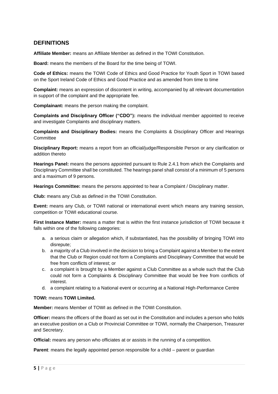## **DEFINITIONS**

**Affiliate Member:** means an Affiliate Member as defined in the TOWI Constitution.

**Board:** means the members of the Board for the time being of TOWI.

**Code of Ethics:** means the TOWI Code of Ethics and Good Practice for Youth Sport in TOWI based on the Sport Ireland Code of Ethics and Good Practice and as amended from time to time

**Complaint:** means an expression of discontent in writing, accompanied by all relevant documentation in support of the complaint and the appropriate fee.

**Complainant:** means the person making the complaint.

**Complaints and Disciplinary Officer ("CDO"):** means the individual member appointed to receive and investigate Complaints and disciplinary matters.

**Complaints and Disciplinary Bodies:** means the Complaints & Disciplinary Officer and Hearings **Committee** 

**Disciplinary Report:** means a report from an official/judge/Responsible Person or any clarification or addition thereto

**Hearings Panel:** means the persons appointed pursuant to Rule 2.4.1 from which the Complaints and Disciplinary Committee shall be constituted. The hearings panel shall consist of a minimum of 5 persons and a maximum of 9 persons.

**Hearings Committee:** means the persons appointed to hear a Complaint / Disciplinary matter.

**Club:** means any Club as defined in the TOWI Constitution.

**Event:** means any Club, or TOWI national or international event which means any training session, competition or TOWI educational course.

**First Instance Matter:** means a matter that is within the first instance jurisdiction of TOWI because it falls within one of the following categories:

- a. a serious claim or allegation which, if substantiated, has the possibility of bringing TOWI into disrepute;
- b. a majority of a Club involved in the decision to bring a Complaint against a Member to the extent that the Club or Region could not form a Complaints and Disciplinary Committee that would be free from conflicts of interest; or
- c. a complaint is brought by a Member against a Club Committee as a whole such that the Club could not form a Complaints & Disciplinary Committee that would be free from conflicts of interest.
- d. a complaint relating to a National event or occurring at a National High-Performance Centre

#### **TOWI:** means **TOWI Limited.**

**Member:** means Member of TOWI as defined in the TOWI Constitution.

**Officer:** means the officers of the Board as set out in the Constitution and includes a person who holds an executive position on a Club or Provincial Committee or TOWI, normally the Chairperson, Treasurer and Secretary.

**Official:** means any person who officiates at or assists in the running of a competition.

**Parent:** means the legally appointed person responsible for a child – parent or guardian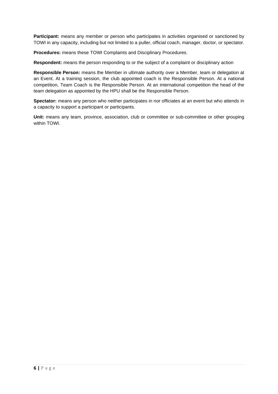**Participant:** means any member or person who participates in activities organised or sanctioned by TOWI in any capacity, including but not limited to a puller, official coach, manager, doctor, or spectator.

**Procedures:** means these TOWI Complaints and Disciplinary Procedures.

**Respondent:** means the person responding to or the subject of a complaint or disciplinary action

**Responsible Person:** means the Member in ultimate authority over a Member, team or delegation at an Event. At a training session, the club appointed coach is the Responsible Person. At a national competition, Team Coach is the Responsible Person. At an international competition the head of the team delegation as appointed by the HPU shall be the Responsible Person.

**Spectator:** means any person who neither participates in nor officiates at an event but who attends in a capacity to support a participant or participants.

**Unit:** means any team, province, association, club or committee or sub-committee or other grouping within TOWI.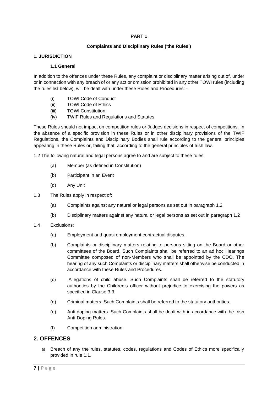#### **PART 1**

#### **Complaints and Disciplinary Rules ('the Rules')**

#### **1. JURISDICTION**

#### **1.1 General**

In addition to the offences under these Rules, any complaint or disciplinary matter arising out of, under or in connection with any breach of or any act or omission prohibited in any other TOWI rules (including the rules list below), will be dealt with under these Rules and Procedures: -

- (i) TOWI Code of Conduct
- (ii) TOWI Code of Ethics
- (iii) TOWI Constitution
- (iv) TWIF Rules and Regulations and Statutes

These Rules should not impact on competition rules or Judges decisions in respect of competitions. In the absence of a specific provision in these Rules or in other disciplinary provisions of the TWIF Regulations, the Complaints and Disciplinary Bodies shall rule according to the general principles appearing in these Rules or, failing that, according to the general principles of Irish law.

1.2 The following natural and legal persons agree to and are subject to these rules:

- (a) Member (as defined in Constitution)
- (b) Participant in an Event
- (d) Any Unit
- 1.3 The Rules apply in respect of:
	- (a) Complaints against any natural or legal persons as set out in paragraph 1.2
	- (b) Disciplinary matters against any natural or legal persons as set out in paragraph 1.2
- 1.4 Exclusions:
	- (a) Employment and quasi employment contractual disputes.
	- (b) Complaints or disciplinary matters relating to persons sitting on the Board or other committees of the Board. Such Complaints shall be referred to an ad hoc Hearings Committee composed of non-Members who shall be appointed by the CDO. The hearing of any such Complaints or disciplinary matters shall otherwise be conducted in accordance with these Rules and Procedures.
	- (c) Allegations of child abuse. Such Complaints shall be referred to the statutory authorities by the Children's officer without prejudice to exercising the powers as specified in Clause 3.3.
	- (d) Criminal matters. Such Complaints shall be referred to the statutory authorities.
	- (e) Anti-doping matters. Such Complaints shall be dealt with in accordance with the Irish Anti-Doping Rules.
	- (f) Competition administration.

#### **2. OFFENCES**

Breach of any the rules, statutes, codes, regulations and Codes of Ethics more specifically provided in rule 1.1.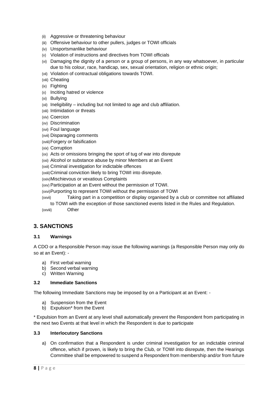- (ii) Aggressive or threatening behaviour
- (iii) Offensive behaviour to other pullers, judges or TOWI officials
- (iv) Unsportsmanlike behaviour
- (v) Violation of instructions and directives from TOWI officials
- (vi) Damaging the dignity of a person or a group of persons, in any way whatsoever, in particular due to his colour, race, handicap, sex, sexual orientation, religion or ethnic origin;
- (vii) Violation of contractual obligations towards TOWI.
- (viii) Cheating
- (ix) Fighting
- (x) Inciting hatred or violence
- (xi) Bullying
- (xii) Ineligibility including but not limited to age and club affiliation.
- (xiii) Intimidation or threats
- (xiv) Coercion
- (xv) Discrimination
- (xvi) Foul language
- (xvii) Disparaging comments
- (xviii)Forgery or falsification
- (xix) Corruption
- (xx) Acts or omissions bringing the sport of tug of war into disrepute
- (xxi) Alcohol or substance abuse by minor Members at an Event
- (xxii) Criminal investigation for indictable offences
- (xxiii)Criminal conviction likely to bring TOWI into disrepute.
- (xxiv)Mischievous or vexatious Complaints
- (xxv) Participation at an Event without the permission of TOWI.
- (xxvi)Purporting to represent TOWI without the permission of TOWI
- (xxvii) Taking part in a competition or display organised by a club or committee not affiliated to TOWI with the exception of those sanctioned events listed in the Rules and Regulation.
- (xxviii) Other

## **3. SANCTIONS**

#### **3.1 Warnings**

A CDO or a Responsible Person may issue the following warnings (a Responsible Person may only do so at an Event): -

- a) First verbal warning
- b) Second verbal warning
- c) Written Warning

#### **3.2 Immediate Sanctions**

The following Immediate Sanctions may be imposed by on a Participant at an Event: -

- a) Suspension from the Event
- b) Expulsion\* from the Event

\* Expulsion from an Event at any level shall automatically prevent the Respondent from participating in the next two Events at that level in which the Respondent is due to participate

#### **3.3 Interlocutory Sanctions**

a) On confirmation that a Respondent is under criminal investigation for an indictable criminal offence, which if proven, is likely to bring the Club, or TOWI into disrepute, then the Hearings Committee shall be empowered to suspend a Respondent from membership and/or from future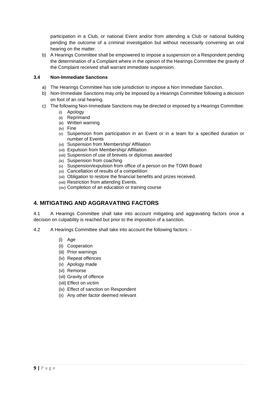participation in a Club, or national Event and/or from attending a Club or national building pending the outcome of a criminal investigation but without necessarily convening an oral hearing on the matter.

b) A Hearings Committee shall be empowered to impose a suspension on a Respondent pending the determination of a Complaint where in the opinion of the Hearings Committee the gravity of the Complaint received shall warrant immediate suspension.

#### **3.4 Non-Immediate Sanctions**

- a) The Hearings Committee has sole jurisdiction to impose a Non Immediate Sanction.
- b) Non-Immediate Sanctions may only be imposed by a Hearings Committee following a decision on foot of an oral hearing.
- c) The following Non-Immediate Sanctions may be directed or imposed by a Hearings Committee:
	- (i) Apology
	- (ii) Reprimand
	- (iii) Written warning
	- (iv) Fine
	- (v) Suspension from participation in an Event or in a team for a specified duration or number of Events
	- (vi) Suspension from Membership/ Affiliation
	- (vii) Expulsion from Membership/ Affiliation
	- (viii) Suspension of use of brevets or diplomas awarded
	- (ix) Suspension from coaching
	- (x) Suspension/expulsion from office of a person on the TOWI Board
	- (xi) Cancellation of results of a competition
	- (xii) Obligation to restore the financial benefits and prizes received.
	- (xiii) Restriction from attending Events.
	- (xiv) Completion of an education or training course

## **4. MITIGATING AND AGGRAVATING FACTORS**

4.1 A Hearings Committee shall take into account mitigating and aggravating factors once a decision on culpability is reached but prior to the imposition of a sanction.

- 4.2 A Hearings Committee shall take into account the following factors:
	- (i) Age
	- (ii) Cooperation
	- (iii) Prior warnings
	- (iv) Repeat offences
	- (v) Apology made
	- (vi) Remorse
	- (vii) Gravity of offence
	- (viii) Effect on victim
	- (ix) Effect of sanction on Respondent
	- (x) Any other factor deemed relevant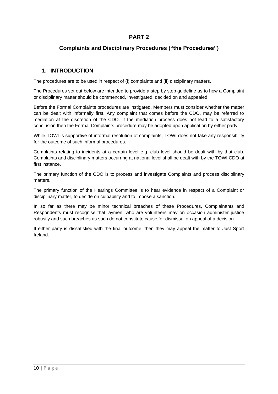## **PART 2**

## **Complaints and Disciplinary Procedures ("the Procedures")**

## **1. INTRODUCTION**

The procedures are to be used in respect of (i) complaints and (ii) disciplinary matters.

The Procedures set out below are intended to provide a step by step guideline as to how a Complaint or disciplinary matter should be commenced, investigated, decided on and appealed.

Before the Formal Complaints procedures are instigated, Members must consider whether the matter can be dealt with informally first. Any complaint that comes before the CDO, may be referred to mediation at the discretion of the CDO. If the mediation process does not lead to a satisfactory conclusion then the Formal Complaints procedure may be adopted upon application by either party.

While TOWI is supportive of informal resolution of complaints, TOWI does not take any responsibility for the outcome of such informal procedures.

Complaints relating to incidents at a certain level e.g. club level should be dealt with by that club. Complaints and disciplinary matters occurring at national level shall be dealt with by the TOWI CDO at first instance.

The primary function of the CDO is to process and investigate Complaints and process disciplinary matters.

The primary function of the Hearings Committee is to hear evidence in respect of a Complaint or disciplinary matter, to decide on culpability and to impose a sanction.

In so far as there may be minor technical breaches of these Procedures, Complainants and Respondents must recognise that laymen, who are volunteers may on occasion administer justice robustly and such breaches as such do not constitute cause for dismissal on appeal of a decision.

If either party is dissatisfied with the final outcome, then they may appeal the matter to Just Sport Ireland.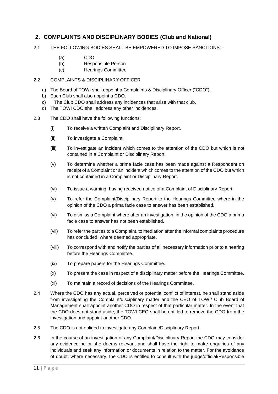## **2. COMPLAINTS AND DISCIPLINARY BODIES (Club and National)**

- 2.1 THE FOLLOWING BODIES SHALL BE EMPOWERED TO IMPOSE SANCTIONS:
	- (a) CDO
	- (b) Responsible Person
	- (c) Hearings Committee

#### 2.2 COMPLAINTS & DISCIPLINARY OFFICER

- a) The Board of TOWI shall appoint a Complaints & Disciplinary Officer ("CDO").
- b) Each Club shall also appoint a CDO.
- c) The Club CDO shall address any incidences that arise with that club.
- d) The TOWI CDO shall address any other incidences.
- 2.3 The CDO shall have the following functions:
	- (i) To receive a written Complaint and Disciplinary Report.
	- (ii) To investigate a Complaint.
	- (iii) To investigate an incident which comes to the attention of the CDO but which is not contained in a Complaint or Disciplinary Report.
	- (v) To determine whether a prima facie case has been made against a Respondent on receipt of a Complaint or an incident which comes to the attention of the CDO but which is not contained in a Complaint or Disciplinary Report.
	- (vi) To issue a warning, having received notice of a Complaint of Disciplinary Report.
	- (v) To refer the Complaint/Disciplinary Report to the Hearings Committee where in the opinion of the CDO a prima facie case to answer has been established.
	- (vi) To dismiss a Complaint where after an investigation, in the opinion of the CDO a prima facie case to answer has not been established.
	- (vii) To refer the parties to a Complaint, to mediation after the informal complaints procedure has concluded, where deemed appropriate.
	- (viii) To correspond with and notify the parties of all necessary information prior to a hearing before the Hearings Committee.
	- (ix) To prepare papers for the Hearings Committee.
	- (x) To present the case in respect of a disciplinary matter before the Hearings Committee.
	- (xi) To maintain a record of decisions of the Hearings Committee.
- 2.4 Where the CDO has any actual, perceived or potential conflict of interest, he shall stand aside from investigating the Complaint/disciplinary matter and the CEO of TOWI/ Club Board of Management shall appoint another CDO in respect of that particular matter. In the event that the CDO does not stand aside, the TOWI CEO shall be entitled to remove the CDO from the investigation and appoint another CDO.
- 2.5 The CDO is not obliged to investigate any Complaint/Disciplinary Report.
- 2.6 In the course of an investigation of any Complaint/Disciplinary Report the CDO may consider any evidence he or she deems relevant and shall have the right to make enquiries of any individuals and seek any information or documents in relation to the matter. For the avoidance of doubt, where necessary, the CDO is entitled to consult with the judge/official/Responsible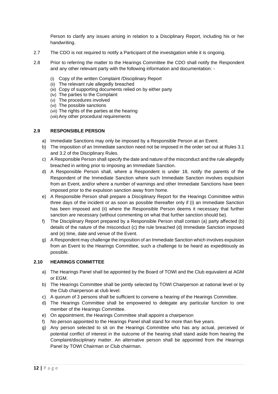Person to clarify any issues arising in relation to a Disciplinary Report, including his or her handwriting.

- 2.7 The CDO is not required to notify a Participant of the investigation while it is ongoing.
- 2.8 Prior to referring the matter to the Hearings Committee the CDO shall notify the Respondent and any other relevant party with the following information and documentation: -
	- (i) Copy of the written Complaint /Disciplinary Report
	- (ii) The relevant rule allegedly breached
	- (iii) Copy of supporting documents relied on by either party
	- (iv) The parties to the Complaint
	- (v) The procedures involved
	- (vi) The possible sanctions
	- (vii) The rights of the parties at the hearing
	- (viii)Any other procedural requirements

#### **2.9 RESPONSIBLE PERSON**

- a) Immediate Sanctions may only be imposed by a Responsible Person at an Event.
- b) The imposition of an Immediate sanction need not be imposed in the order set out at Rules 3.1 and 3.2 of the Disciplinary Rules.
- c) A Responsible Person shall specify the date and nature of the misconduct and the rule allegedly breached in writing prior to imposing an Immediate Sanction.
- d) A Responsible Person shall, where a Respondent is under 18, notify the parents of the Respondent of the Immediate Sanction where such Immediate Sanction involves expulsion from an Event, and/or where a number of warnings and other Immediate Sanctions have been imposed prior to the expulsion sanction away from home.
- e) A Responsible Person shall prepare a Disciplinary Report for the Hearings Committee within three days of the incident or as soon as possible thereafter only if (i) an Immediate Sanction has been imposed and (ii) where the Responsible Person deems it necessary that further sanction are necessary (without commenting on what that further sanction should be).
- f) The Disciplinary Report prepared by a Responsible Person shall contain (a) party affected (b) details of the nature of the misconduct (c) the rule breached (d) Immediate Sanction imposed and (e) time, date and venue of the Event.
- g) A Respondent may challenge the imposition of an Immediate Sanction which involves expulsion from an Event to the Hearings Committee, such a challenge to be heard as expeditiously as possible.

### **2.10 HEARINGS COMMITTEE**

- a) The Hearings Panel shall be appointed by the Board of TOWI and the Club equivalent at AGM or EGM.
- b) The Hearings Committee shall be jointly selected by TOWI Chairperson at national level or by the Club chairperson at club level.
- c) A quorum of 3 persons shall be sufficient to convene a hearing of the Hearings Committee.
- d) The Hearings Committee shall be empowered to delegate any particular function to one member of the Hearings Committee.
- e) On appointment, the Hearings Committee shall appoint a chairperson
- f) No person appointed to the Hearings Panel shall stand for more than five years.
- g) Any person selected to sit on the Hearings Committee who has any actual, perceived or potential conflict of interest in the outcome of the hearing shall stand aside from hearing the Complaint/disciplinary matter. An alternative person shall be appointed from the Hearings Panel by TOWI Chairman or Club chairman.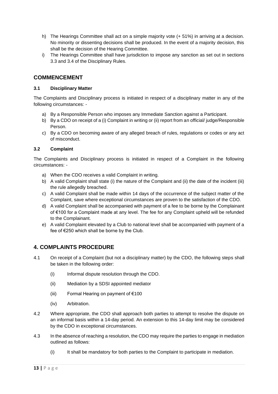- h) The Hearings Committee shall act on a simple majority vote (+ 51%) in arriving at a decision. No minority or dissenting decisions shall be produced. In the event of a majority decision, this shall be the decision of the Hearing Committee.
- i) The Hearings Committee shall have jurisdiction to impose any sanction as set out in sections 3.3 and 3.4 of the Disciplinary Rules.

### **COMMENCEMENT**

#### **3.1 Disciplinary Matter**

The Complaints and Disciplinary process is initiated in respect of a disciplinary matter in any of the following circumstances: -

- a) By a Responsible Person who imposes any Immediate Sanction against a Participant.
- b) By a CDO on receipt of a (i) Complaint in writing or (ii) report from an official/ judge/Responsible Person.
- c) By a CDO on becoming aware of any alleged breach of rules, regulations or codes or any act of misconduct.

#### **3.2 Complaint**

The Complaints and Disciplinary process is initiated in respect of a Complaint in the following circumstances: -

- a) When the CDO receives a valid Complaint in writing.
- b) A valid Complaint shall state (i) the nature of the Complaint and (ii) the date of the incident (iii) the rule allegedly breached.
- c) A valid Complaint shall be made within 14 days of the occurrence of the subject matter of the Complaint, save where exceptional circumstances are proven to the satisfaction of the CDO.
- d) A valid Complaint shall be accompanied with payment of a fee to be borne by the Complainant of €100 for a Complaint made at any level. The fee for any Complaint upheld will be refunded to the Complainant.
- e) A valid Complaint elevated by a Club to national level shall be accompanied with payment of a fee of €250 which shall be borne by the Club.

## **4. COMPLAINTS PROCEDURE**

- 4.1 On receipt of a Complaint (but not a disciplinary matter) by the CDO, the following steps shall be taken in the following order:
	- (i) Informal dispute resolution through the CDO.
	- (ii) Mediation by a SDSI appointed mediator
	- (iii) Formal Hearing on payment of  $€100$
	- (iv) Arbitration.
- 4.2 Where appropriate, the CDO shall approach both parties to attempt to resolve the dispute on an informal basis within a 14-day period. An extension to this 14-day limit may be considered by the CDO in exceptional circumstances.
- 4.3 In the absence of reaching a resolution, the CDO may require the parties to engage in mediation outlined as follows:
	- (i) It shall be mandatory for both parties to the Complaint to participate in mediation.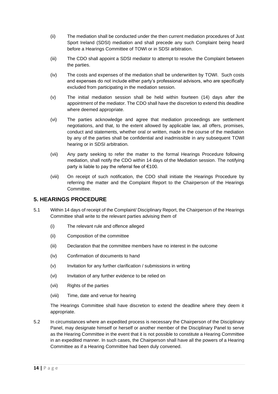- (ii) The mediation shall be conducted under the then current mediation procedures of Just Sport Ireland (SDSI) mediation and shall precede any such Complaint being heard before a Hearings Committee of TOWI or in SDSI arbitration.
- (iii) The CDO shall appoint a SDSI mediator to attempt to resolve the Complaint between the parties.
- (iv) The costs and expenses of the mediation shall be underwritten by TOWI. Such costs and expenses do not include either party's professional advisors, who are specifically excluded from participating in the mediation session.
- (v) The initial mediation session shall be held within fourteen (14) days after the appointment of the mediator. The CDO shall have the discretion to extend this deadline where deemed appropriate.
- (vi) The parties acknowledge and agree that mediation proceedings are settlement negotiations, and that, to the extent allowed by applicable law, all offers, promises, conduct and statements, whether oral or written, made in the course of the mediation by any of the parties shall be confidential and inadmissible in any subsequent TOWI hearing or in SDSI arbitration.
- (vii) Any party seeking to refer the matter to the formal Hearings Procedure following mediation, shall notify the CDO within 14 days of the Mediation session. The notifying party is liable to pay the referral fee of €100.
- (viii) On receipt of such notification, the CDO shall initiate the Hearings Procedure by referring the matter and the Complaint Report to the Chairperson of the Hearings Committee.

## **5. HEARINGS PROCEDURE**

- 5.1 Within 14 days of receipt of the Complaint/ Disciplinary Report, the Chairperson of the Hearings Committee shall write to the relevant parties advising them of
	- (i) The relevant rule and offence alleged
	- (ii) Composition of the committee
	- (iii) Declaration that the committee members have no interest in the outcome
	- (iv) Confirmation of documents to hand
	- (v) Invitation for any further clarification / submissions in writing
	- (vi) Invitation of any further evidence to be relied on
	- (vii) Rights of the parties
	- (viii) Time, date and venue for hearing

The Hearings Committee shall have discretion to extend the deadline where they deem it appropriate.

5.2 In circumstances where an expedited process is necessary the Chairperson of the Disciplinary Panel, may designate himself or herself or another member of the Disciplinary Panel to serve as the Hearing Committee in the event that it is not possible to constitute a Hearing Committee in an expedited manner. In such cases, the Chairperson shall have all the powers of a Hearing Committee as if a Hearing Committee had been duly convened.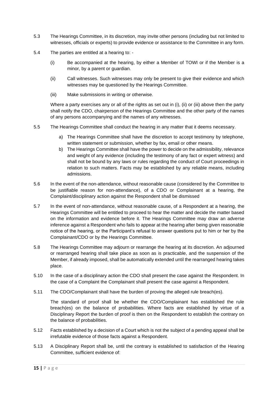- 5.3 The Hearings Committee, in its discretion, may invite other persons (including but not limited to witnesses, officials or experts) to provide evidence or assistance to the Committee in any form.
- 5.4 The parties are entitled at a hearing to:
	- (i) Be accompanied at the hearing, by either a Member of TOWI or if the Member is a minor, by a parent or guardian.
	- (ii) Call witnesses. Such witnesses may only be present to give their evidence and which witnesses may be questioned by the Hearings Committee.
	- (iii) Make submissions in writing or otherwise.

Where a party exercises any or all of the rights as set out in (i), (ii) or (iii) above then the party shall notify the CDO, chairperson of the Hearings Committee and the other party of the names of any persons accompanying and the names of any witnesses.

- 5.5 The Hearings Committee shall conduct the hearing in any matter that it deems necessary.
	- a) The Hearings Committee shall have the discretion to accept testimony by telephone, written statement or submission, whether by fax, email or other means.
	- b) The Hearings Committee shall have the power to decide on the admissibility, relevance and weight of any evidence (including the testimony of any fact or expert witness) and shall not be bound by any laws or rules regarding the conduct of Court proceedings in relation to such matters. Facts may be established by any reliable means, including admissions.
- 5.6 In the event of the non-attendance, without reasonable cause (considered by the Committee to be justifiable reason for non-attendance), of a CDO or Complainant at a hearing, the Complaint/disciplinary action against the Respondent shall be dismissed
- 5.7 In the event of non-attendance, without reasonable cause, of a Respondent at a hearing, the Hearings Committee will be entitled to proceed to hear the matter and decide the matter based on the information and evidence before it. The Hearings Committee may draw an adverse inference against a Respondent who fails to appear at the hearing after being given reasonable notice of the hearing, or the Participant's refusal to answer questions put to him or her by the Complainant/CDO or by the Hearings Committee.
- 5.8 The Hearings Committee may adjourn or rearrange the hearing at its discretion. An adjourned or rearranged hearing shall take place as soon as is practicable, and the suspension of the Member, if already imposed, shall be automatically extended until the rearranged hearing takes place.
- 5.10 In the case of a disciplinary action the CDO shall present the case against the Respondent. In the case of a Complaint the Complainant shall present the case against a Respondent.
- 5.11 The CDO/Complainant shall have the burden of proving the alleged rule breach(es).

The standard of proof shall be whether the CDO/Complainant has established the rule breach(es) on the balance of probabilities. Where facts are established by virtue of a Disciplinary Report the burden of proof is then on the Respondent to establish the contrary on the balance of probabilities.

- 5.12 Facts established by a decision of a Court which is not the subject of a pending appeal shall be irrefutable evidence of those facts against a Respondent.
- 5.13 A Disciplinary Report shall be, until the contrary is established to satisfaction of the Hearing Committee, sufficient evidence of: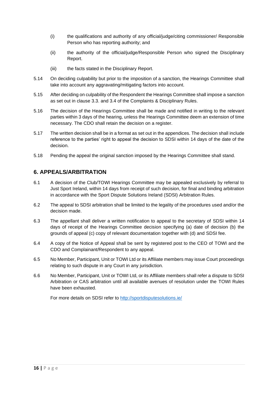- (i) the qualifications and authority of any official/judge/citing commissioner/ Responsible Person who has reporting authority; and
- (ii) the authority of the official/judge/Responsible Person who signed the Disciplinary Report.
- (iii) the facts stated in the Disciplinary Report.
- 5.14 On deciding culpability but prior to the imposition of a sanction, the Hearings Committee shall take into account any aggravating/mitigating factors into account.
- 5.15 After deciding on culpability of the Respondent the Hearings Committee shall impose a sanction as set out in clause 3.3. and 3.4 of the Complaints & Disciplinary Rules.
- 5.16 The decision of the Hearings Committee shall be made and notified in writing to the relevant parties within 3 days of the hearing, unless the Hearings Committee deem an extension of time necessary. The CDO shall retain the decision on a register.
- 5.17 The written decision shall be in a format as set out in the appendices. The decision shall include reference to the parties' right to appeal the decision to SDSI within 14 days of the date of the decision.
- 5.18 Pending the appeal the original sanction imposed by the Hearings Committee shall stand.

## **6. APPEALS/ARBITRATION**

- 6.1 A decision of the Club/TOWI Hearings Committee may be appealed exclusively by referral to Just Sport Ireland, within 14 days from receipt of such decision, for final and binding arbitration in accordance with the Sport Dispute Solutions Ireland (SDSI) Arbitration Rules.
- 6.2 The appeal to SDSI arbitration shall be limited to the legality of the procedures used and/or the decision made.
- 6.3 The appellant shall deliver a written notification to appeal to the secretary of SDSI within 14 days of receipt of the Hearings Committee decision specifying (a) date of decision (b) the grounds of appeal (c) copy of relevant documentation together with (d) and SDSI fee.
- 6.4 A copy of the Notice of Appeal shall be sent by registered post to the CEO of TOWI and the CDO and Complainant/Respondent to any appeal.
- 6.5 No Member, Participant, Unit or TOWI Ltd or its Affiliate members may issue Court proceedings relating to such dispute in any Court in any jurisdiction.
- 6.6 No Member, Participant, Unit or TOWI Ltd, or its Affiliate members shall refer a dispute to SDSI Arbitration or CAS arbitration until all available avenues of resolution under the TOWI Rules have been exhausted.

For more details on SDSI refer to<http://sportdisputesolutions.ie/>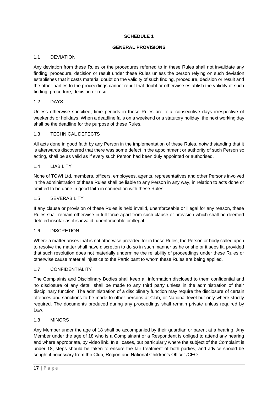#### **SCHEDULE 1**

#### **GENERAL PROVISIONS**

#### 1.1 DEVIATION

Any deviation from these Rules or the procedures referred to in these Rules shall not invalidate any finding, procedure, decision or result under these Rules unless the person relying on such deviation establishes that it casts material doubt on the validity of such finding, procedure, decision or result and the other parties to the proceedings cannot rebut that doubt or otherwise establish the validity of such finding, procedure, decision or result.

#### 1.2 DAYS

Unless otherwise specified, time periods in these Rules are total consecutive days irrespective of weekends or holidays. When a deadline falls on a weekend or a statutory holiday, the next working day shall be the deadline for the purpose of these Rules.

#### 1.3 TECHNICAL DEFECTS

All acts done in good faith by any Person in the implementation of these Rules, notwithstanding that it is afterwards discovered that there was some defect in the appointment or authority of such Person so acting, shall be as valid as if every such Person had been duly appointed or authorised.

#### 1.4 LIABILITY

None of TOWI Ltd, members, officers, employees, agents, representatives and other Persons involved in the administration of these Rules shall be liable to any Person in any way, in relation to acts done or omitted to be done in good faith in connection with these Rules.

#### 1.5 SEVERABILITY

If any clause or provision of these Rules is held invalid, unenforceable or illegal for any reason, these Rules shall remain otherwise in full force apart from such clause or provision which shall be deemed deleted insofar as it is invalid, unenforceable or illegal.

#### 1.6 DISCRETION

Where a matter arises that is not otherwise provided for in these Rules, the Person or body called upon to resolve the matter shall have discretion to do so in such manner as he or she or it sees fit, provided that such resolution does not materially undermine the reliability of proceedings under these Rules or otherwise cause material injustice to the Participant to whom these Rules are being applied.

#### 1.7 CONFIDENTIALITY

The Complaints and Disciplinary Bodies shall keep all information disclosed to them confidential and no disclosure of any detail shall be made to any third party unless in the administration of their disciplinary function. The administration of a disciplinary function may require the disclosure of certain offences and sanctions to be made to other persons at Club, or National level but only where strictly required. The documents produced during any proceedings shall remain private unless required by Law.

#### 1.8 MINORS

Any Member under the age of 18 shall be accompanied by their guardian or parent at a hearing. Any Member under the age of 18 who is a Complainant or a Respondent is obliged to attend any hearing and where appropriate, by video link. In all cases, but particularly where the subject of the Complaint is under 18, steps should be taken to ensure the fair treatment of both parties, and advice should be sought if necessary from the Club, Region and National Children's Officer /CEO.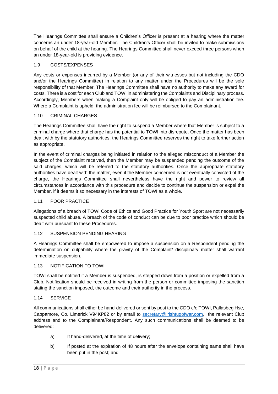The Hearings Committee shall ensure a Children's Officer is present at a hearing where the matter concerns an under 18-year-old Member. The Children's Officer shall be invited to make submissions on behalf of the child at the hearing. The Hearings Committee shall never exceed three persons when an under 18-year-old is providing evidence.

#### 1.9 COSTS/EXPENSES

Any costs or expenses incurred by a Member (or any of their witnesses but not including the CDO and/or the Hearings Committee) in relation to any matter under the Procedures will be the sole responsibility of that Member. The Hearings Committee shall have no authority to make any award for costs. There is a cost for each Club and TOWI in administering the Complaints and Disciplinary process. Accordingly, Members when making a Complaint only will be obliged to pay an administration fee. Where a Complaint is upheld, the administration fee will be reimbursed to the Complainant.

#### 1.10 CRIMINAL CHARGES

The Hearings Committee shall have the right to suspend a Member where that Member is subject to a criminal charge where that charge has the potential to TOWI into disrepute. Once the matter has been dealt with by the statutory authorities, the Hearings Committee reserves the right to take further action as appropriate.

In the event of criminal charges being initiated in relation to the alleged misconduct of a Member the subject of the Complaint received, then the Member may be suspended pending the outcome of the said charges, which will be referred to the statutory authorities. Once the appropriate statutory authorities have dealt with the matter, even if the Member concerned is not eventually convicted of the charge, the Hearings Committee shall nevertheless have the right and power to review all circumstances in accordance with this procedure and decide to continue the suspension or expel the Member, if it deems it so necessary in the interests of TOWI as a whole.

#### 1.11 POOR PRACTICE

Allegations of a breach of TOWI Code of Ethics and Good Practice for Youth Sport are not necessarily suspected child abuse. A breach of the code of conduct can be due to poor practice which should be dealt with pursuant to these Procedures.

#### 1.12 SUSPENSION PENDING HEARING

A Hearings Committee shall be empowered to impose a suspension on a Respondent pending the determination on culpability where the gravity of the Complaint/ disciplinary matter shall warrant immediate suspension.

#### 1.13 NOTIFICATION TO TOWI

TOWI shall be notified if a Member is suspended, is stepped down from a position or expelled from a Club. Notification should be received in writing from the person or committee imposing the sanction stating the sanction imposed, the outcome and their authority in the process.

#### 1.14 SERVICE

All communications shall either be hand-delivered or sent by post to the CDO c/o TOWI, Pallasbeg Hse, Cappamore, Co. Limerick V94KP82 or by email to [secretary@irishtugofwar.com,](mailto:secretary@irishtugofwar.com) the relevant Club address and to the Complainant/Respondent. Any such communications shall be deemed to be delivered:

- a) If hand-delivered, at the time of delivery;
- b) If posted at the expiration of 48 hours after the envelope containing same shall have been put in the post; and